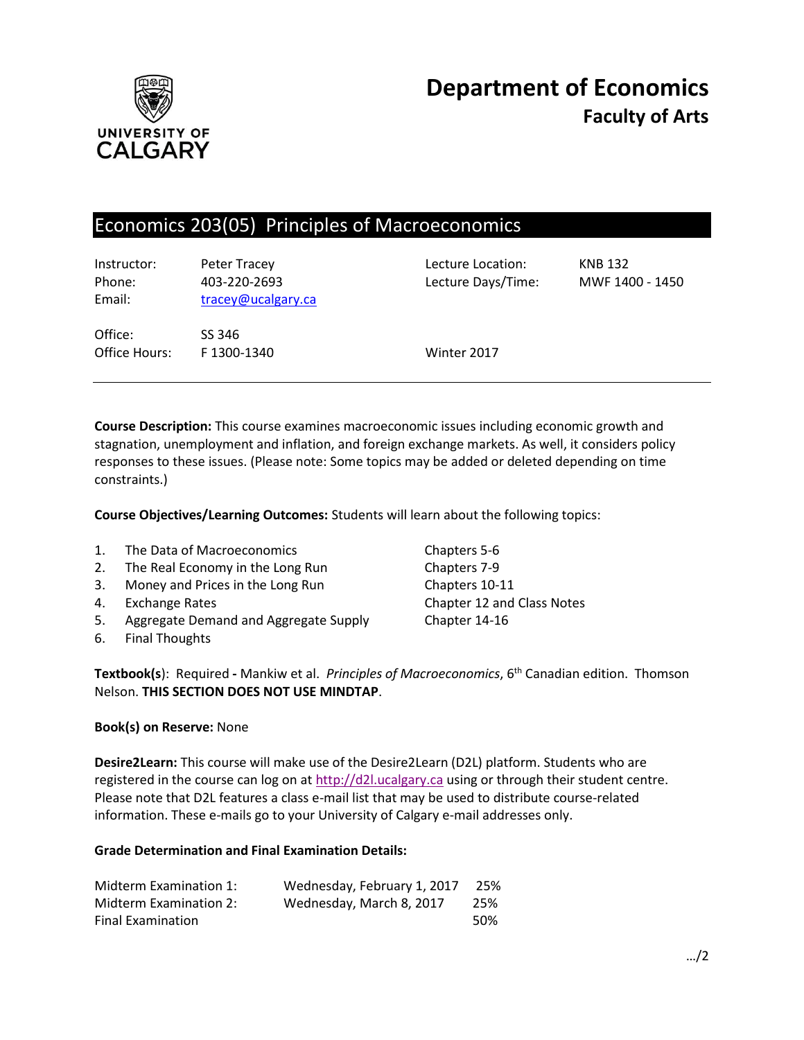

# Economics 203(05) Principles of Macroeconomics

| Instructor:<br>Phone:<br>Email: | Peter Tracey<br>403-220-2693<br>tracey@ucalgary.ca | Lecture Location:<br>Lecture Days/Time: | KNB 132<br>MWF 1400 - 1450 |
|---------------------------------|----------------------------------------------------|-----------------------------------------|----------------------------|
| Office:<br>Office Hours:        | SS 346<br>F1300-1340                               | Winter 2017                             |                            |

**Course Description:** This course examines macroeconomic issues including economic growth and stagnation, unemployment and inflation, and foreign exchange markets. As well, it considers policy responses to these issues. (Please note: Some topics may be added or deleted depending on time constraints.)

**Course Objectives/Learning Outcomes:** Students will learn about the following topics:

1. The Data of Macroeconomics Chapters 5-6 2. The Real Economy in the Long Run Chapters 7-9

- 3. Money and Prices in the Long Run Chapters 10-11
- 
- 5. Aggregate Demand and Aggregate Supply Chapter 14-16
- 6. Final Thoughts

4. Exchange Rates Chapter 12 and Class Notes

**Textbook(s**): Required **-** Mankiw et al. *Principles of Macroeconomics*, 6th Canadian edition. Thomson Nelson. **THIS SECTION DOES NOT USE MINDTAP**.

#### **Book(s) on Reserve:** None

**Desire2Learn:** This course will make use of the Desire2Learn (D2L) platform. Students who are registered in the course can log on at [http://d2l.ucalgary.ca](http://d2l.ucalgary.ca/) using or through their student centre. Please note that D2L features a class e-mail list that may be used to distribute course-related information. These e-mails go to your University of Calgary e-mail addresses only.

#### **Grade Determination and Final Examination Details:**

| Midterm Examination 1:   | Wednesday, February 1, 2017 | 25% |
|--------------------------|-----------------------------|-----|
| Midterm Examination 2:   | Wednesday, March 8, 2017    | 25% |
| <b>Final Examination</b> |                             | 50% |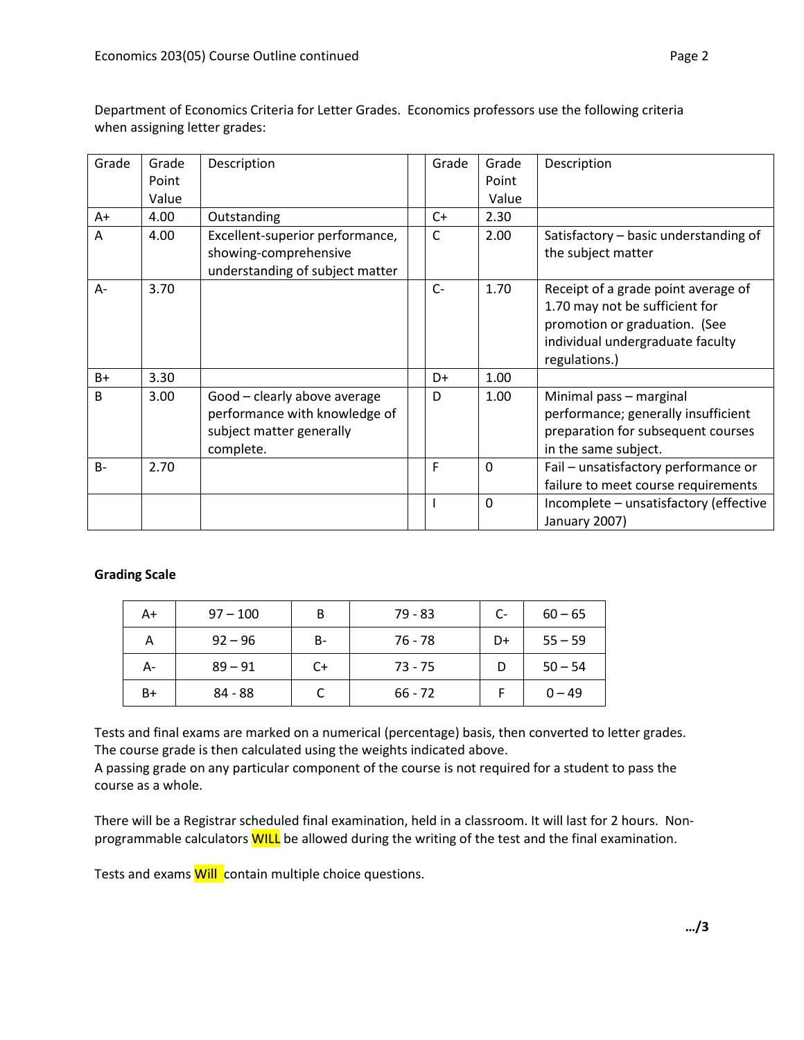| Grade        | Grade | Description                                                                                            | Grade | Grade       | Description                                                                                                                                                 |
|--------------|-------|--------------------------------------------------------------------------------------------------------|-------|-------------|-------------------------------------------------------------------------------------------------------------------------------------------------------------|
|              | Point |                                                                                                        |       | Point       |                                                                                                                                                             |
|              | Value |                                                                                                        |       | Value       |                                                                                                                                                             |
| A+           | 4.00  | Outstanding                                                                                            | $C+$  | 2.30        |                                                                                                                                                             |
| A            | 4.00  | Excellent-superior performance,<br>showing-comprehensive<br>understanding of subject matter            | C     | 2.00        | Satisfactory - basic understanding of<br>the subject matter                                                                                                 |
| A-           | 3.70  |                                                                                                        | $C-$  | 1.70        | Receipt of a grade point average of<br>1.70 may not be sufficient for<br>promotion or graduation. (See<br>individual undergraduate faculty<br>regulations.) |
| $B+$         | 3.30  |                                                                                                        | D+    | 1.00        |                                                                                                                                                             |
| <sub>B</sub> | 3.00  | Good - clearly above average<br>performance with knowledge of<br>subject matter generally<br>complete. | D     | 1.00        | Minimal pass - marginal<br>performance; generally insufficient<br>preparation for subsequent courses<br>in the same subject.                                |
| $B -$        | 2.70  |                                                                                                        | F     | $\Omega$    | Fail - unsatisfactory performance or<br>failure to meet course requirements                                                                                 |
|              |       |                                                                                                        |       | $\mathbf 0$ | Incomplete - unsatisfactory (effective<br>January 2007)                                                                                                     |

Department of Economics Criteria for Letter Grades. Economics professors use the following criteria when assigning letter grades:

# **Grading Scale**

| A+ | $97 - 100$ | B    | 79 - 83   | $C-$ | $60 - 65$ |
|----|------------|------|-----------|------|-----------|
| А  | $92 - 96$  | В-   | 76 - 78   | D+   | $55 - 59$ |
| A- | $89 - 91$  | $C+$ | $73 - 75$ |      | $50 - 54$ |
| B+ | 84 - 88    |      | $66 - 72$ |      | $0 - 49$  |

Tests and final exams are marked on a numerical (percentage) basis, then converted to letter grades. The course grade is then calculated using the weights indicated above.

A passing grade on any particular component of the course is not required for a student to pass the course as a whole.

There will be a Registrar scheduled final examination, held in a classroom. It will last for 2 hours. Nonprogrammable calculators WILL be allowed during the writing of the test and the final examination.

Tests and exams **Will** contain multiple choice questions.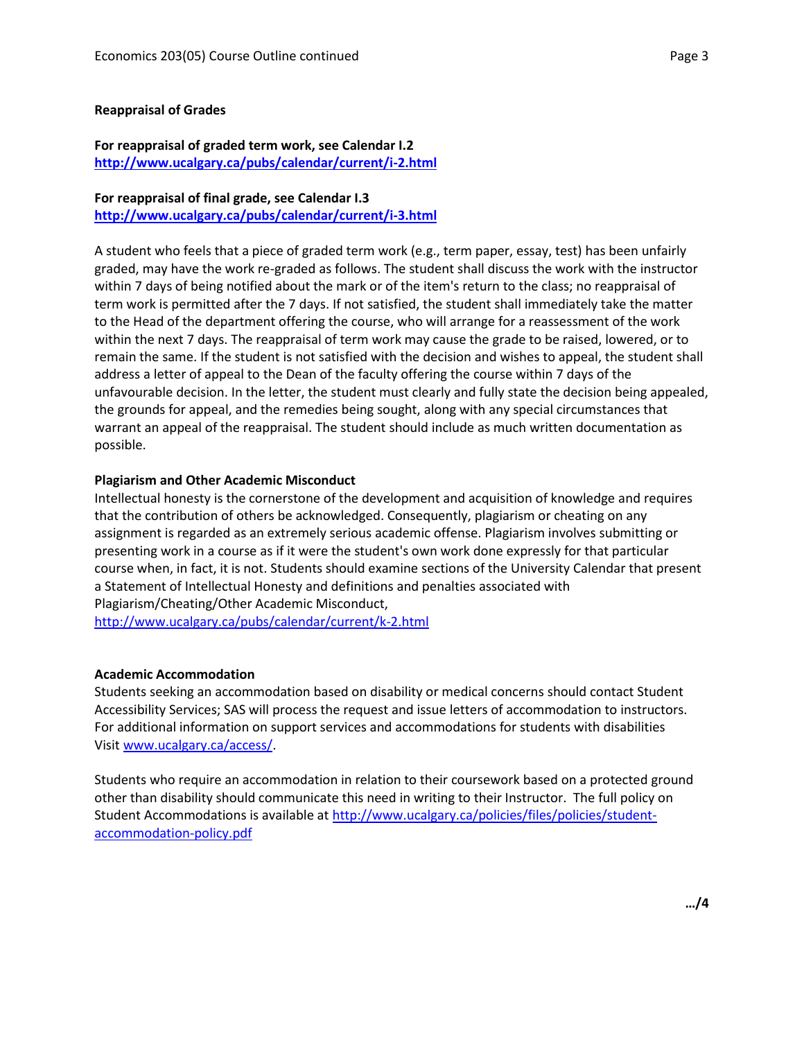#### **Reappraisal of Grades**

## **For reappraisal of graded term work, see Calendar I.2 <http://www.ucalgary.ca/pubs/calendar/current/i-2.html>**

# **For reappraisal of final grade, see Calendar I.3**

**<http://www.ucalgary.ca/pubs/calendar/current/i-3.html>**

A student who feels that a piece of graded term work (e.g., term paper, essay, test) has been unfairly graded, may have the work re-graded as follows. The student shall discuss the work with the instructor within 7 days of being notified about the mark or of the item's return to the class; no reappraisal of term work is permitted after the 7 days. If not satisfied, the student shall immediately take the matter to the Head of the department offering the course, who will arrange for a reassessment of the work within the next 7 days. The reappraisal of term work may cause the grade to be raised, lowered, or to remain the same. If the student is not satisfied with the decision and wishes to appeal, the student shall address a letter of appeal to the Dean of the faculty offering the course within 7 days of the unfavourable decision. In the letter, the student must clearly and fully state the decision being appealed, the grounds for appeal, and the remedies being sought, along with any special circumstances that warrant an appeal of the reappraisal. The student should include as much written documentation as possible.

#### **Plagiarism and Other Academic Misconduct**

Intellectual honesty is the cornerstone of the development and acquisition of knowledge and requires that the contribution of others be acknowledged. Consequently, plagiarism or cheating on any assignment is regarded as an extremely serious academic offense. Plagiarism involves submitting or presenting work in a course as if it were the student's own work done expressly for that particular course when, in fact, it is not. Students should examine sections of the University Calendar that present a Statement of Intellectual Honesty and definitions and penalties associated with Plagiarism/Cheating/Other Academic Misconduct, <http://www.ucalgary.ca/pubs/calendar/current/k-2.html>

#### **Academic Accommodation**

Students seeking an accommodation based on disability or medical concerns should contact Student Accessibility Services; SAS will process the request and issue letters of accommodation to instructors. For additional information on support services and accommodations for students with disabilities Visit [www.ucalgary.ca/access/.](http://www.ucalgary.ca/access/)

Students who require an accommodation in relation to their coursework based on a protected ground other than disability should communicate this need in writing to their Instructor. The full policy on Student Accommodations is available at [http://www.ucalgary.ca/policies/files/policies/student](http://www.ucalgary.ca/policies/files/policies/student-accommodation-policy.pdf)[accommodation-policy.pdf](http://www.ucalgary.ca/policies/files/policies/student-accommodation-policy.pdf)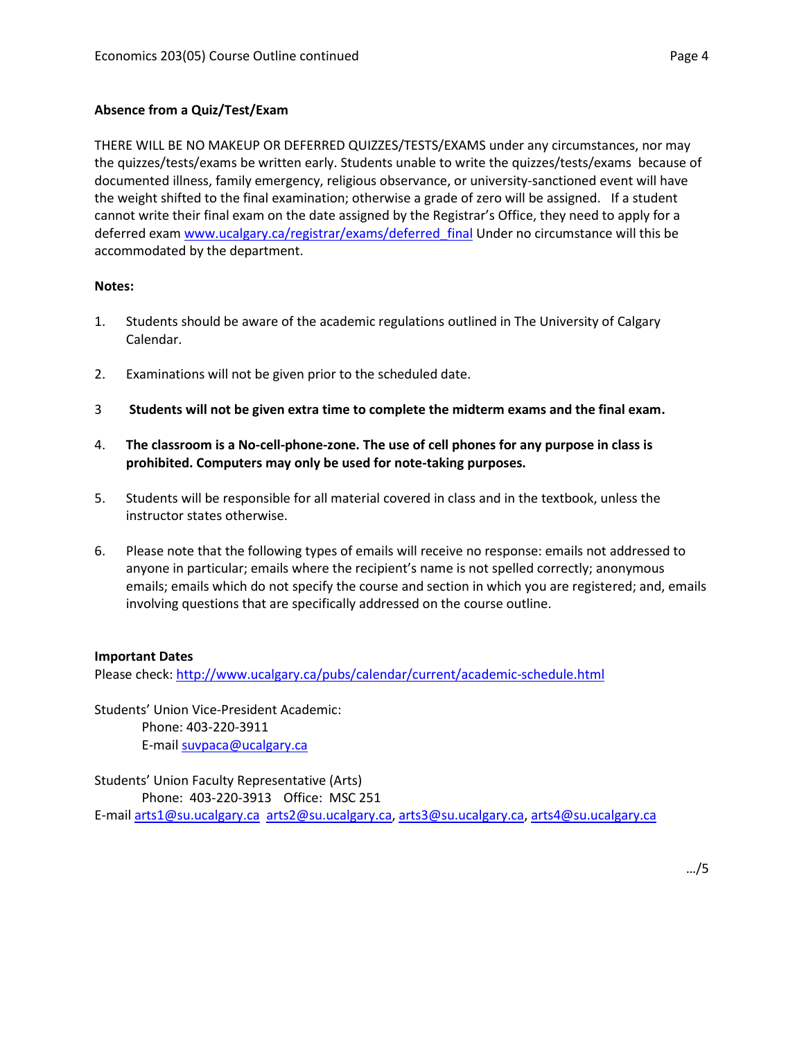## **Absence from a Quiz/Test/Exam**

THERE WILL BE NO MAKEUP OR DEFERRED QUIZZES/TESTS/EXAMS under any circumstances, nor may the quizzes/tests/exams be written early. Students unable to write the quizzes/tests/exams because of documented illness, family emergency, religious observance, or university-sanctioned event will have the weight shifted to the final examination; otherwise a grade of zero will be assigned. If a student cannot write their final exam on the date assigned by the Registrar's Office, they need to apply for a deferred exam [www.ucalgary.ca/registrar/exams/deferred\\_final](http://www.ucalgary.ca/registrar/exams/deferred_final) Under no circumstance will this be accommodated by the department.

## **Notes:**

- 1. Students should be aware of the academic regulations outlined in The University of Calgary Calendar.
- 2. Examinations will not be given prior to the scheduled date.
- 3 **Students will not be given extra time to complete the midterm exams and the final exam.**
- 4. **The classroom is a No-cell-phone-zone. The use of cell phones for any purpose in class is prohibited. Computers may only be used for note-taking purposes.**
- 5. Students will be responsible for all material covered in class and in the textbook, unless the instructor states otherwise.
- 6. Please note that the following types of emails will receive no response: emails not addressed to anyone in particular; emails where the recipient's name is not spelled correctly; anonymous emails; emails which do not specify the course and section in which you are registered; and, emails involving questions that are specifically addressed on the course outline.

## **Important Dates**

Please check:<http://www.ucalgary.ca/pubs/calendar/current/academic-schedule.html>

Students' Union Vice-President Academic: Phone: 403-220-3911 E-mai[l suvpaca@ucalgary.ca](mailto:subpaca@ucalgary.ca)

Students' Union Faculty Representative (Arts) Phone: 403-220-3913 Office: MSC 251 E-mai[l arts1@su.ucalgary.ca](mailto:arts1@su.ucalgary.ca) [arts2@su.ucalgary.ca,](mailto:arts2@su.ucalgary.ca) [arts3@su.ucalgary.ca,](mailto:arts3@su.ucalgary.ca) [arts4@su.ucalgary.ca](mailto:arts4@su.ucalgary.ca)